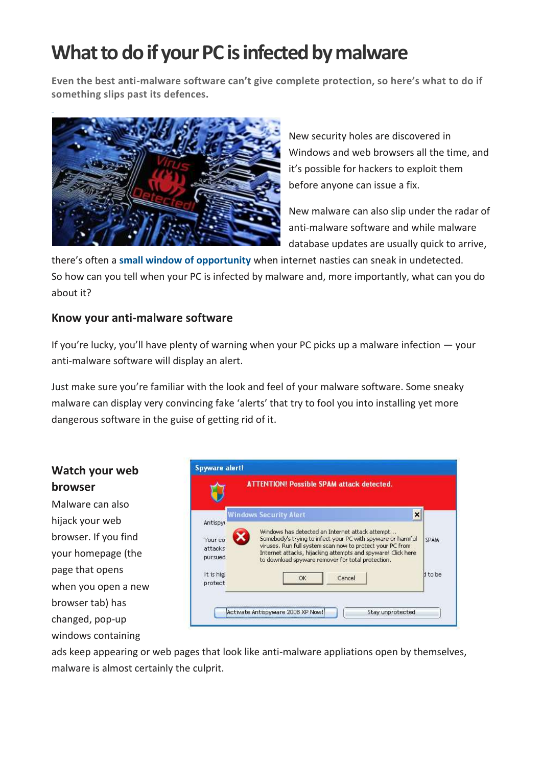# **What to do if your PC is infected by malware**

**Even the best anti-malware software can't give complete protection, so here's what to do if something slips past its defences.**



New security holes are discovered in Windows and web browsers all the time, and it's possible for hackers to exploit them before anyone can issue a fix.

New malware can also slip under the radar of anti-malware software and while malware database updates are usually quick to arrive,

there's often a **[small window of opportunity](http://home.bt.com/techgadgets/technews/public-warned-of-cyber-attacks-11363907643878)** when internet nasties can sneak in undetected. So how can you tell when your PC is infected by malware and, more importantly, what can you do about it?

#### **Know your anti-malware software**

If you're lucky, you'll have plenty of warning when your PC picks up a malware infection — your anti-malware software will display an alert.

Just make sure you're familiar with the look and feel of your malware software. Some sneaky malware can display very convincing fake 'alerts' that try to fool you into installing yet more dangerous software in the guise of getting rid of it.

### **Watch your web browser**

Malware can also hijack your web browser. If you find your homepage (the page that opens when you open a new browser tab) has changed, pop-up windows containing

|                               | <b>ATTENTION! Possible SPAM attack detected.</b>                                                                                                                                                                                                                                                 |         |  |  |
|-------------------------------|--------------------------------------------------------------------------------------------------------------------------------------------------------------------------------------------------------------------------------------------------------------------------------------------------|---------|--|--|
| Antispyt                      | <b>Windows Security Alert</b><br>×                                                                                                                                                                                                                                                               |         |  |  |
| Your co<br>attacks<br>pursued | Windows has detected an Internet attack attempt<br>Somebody's trying to infect your PC with spyware or harmful<br>viruses. Run full system scan now to protect your PC from<br>Internet attacks, hijacking attempts and spyware! Click here<br>to download spyware remover for total protection. |         |  |  |
| It is high<br>protect         | Cancel<br>OK                                                                                                                                                                                                                                                                                     | d to be |  |  |
|                               | Stay unprotected<br>Activate Antispyware 2008 XP Now!!                                                                                                                                                                                                                                           |         |  |  |

ads keep appearing or web pages that look like anti-malware appliations open by themselves, malware is almost certainly the culprit.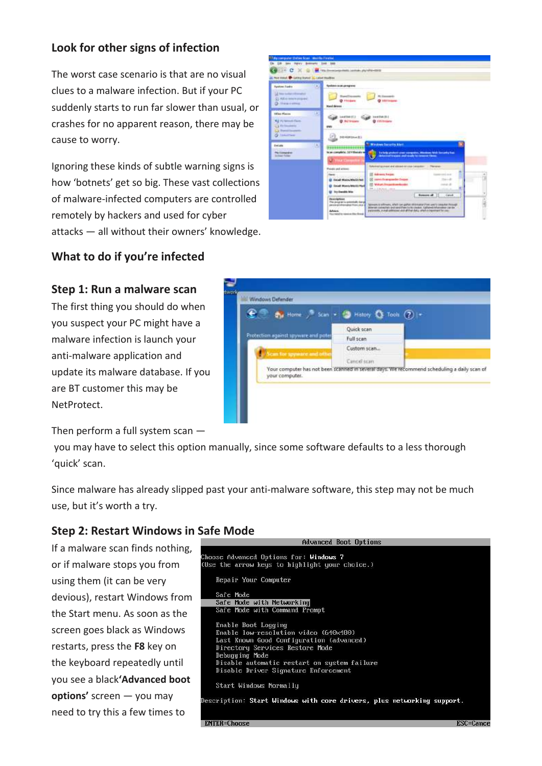### **Look for other signs of infection**

The worst case scenario is that are no visual clues to a malware infection. But if your PC suddenly starts to run far slower than usual, or crashes for no apparent reason, there may be cause to worry.

Ignoring these kinds of subtle warning signs is how 'botnets' get so big. These vast collections of malware-infected computers are controlled remotely by hackers and used for cyber attacks — all without their owners' knowledge.

# $24 - 12 = 0.004$ **COLOR OF LANDS TOWARD** g) Patrones **B** Fried **Travel** ea l carmeter and said Cambridge country for

#### **What to do if you're infected**

#### **Step 1: Run a malware scan**

The first thing you should do when you suspect your PC might have a malware infection is launch your anti-malware application and update its malware database. If you are BT customer this may be NetProtect.

Then perform a full system scan —



you may have to select this option manually, since some software defaults to a less thorough 'quick' scan.

Since malware has already slipped past your anti-malware software, this step may not be much use, but it's worth a try.

#### **Step 2: Restart Windows in Safe Mode**

If a malware scan finds nothing, or if malware stops you from using them (it can be very devious), restart Windows from the Start menu. As soon as the screen goes black as Windows restarts, press the **F8** key on the keyboard repeatedly until you see a black**'Advanced boot options'** screen — you may need to try this a few times to

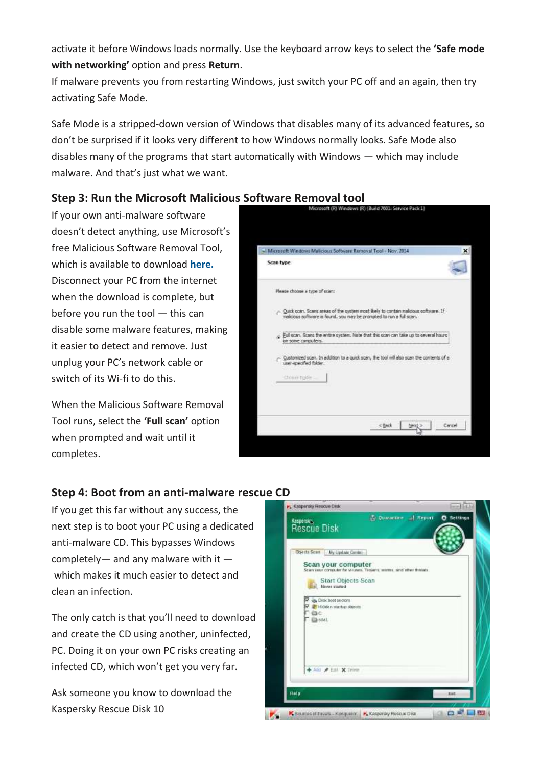activate it before Windows loads normally. Use the keyboard arrow keys to select the **'Safe mode with networking'** option and press **Return**.

If malware prevents you from restarting Windows, just switch your PC off and an again, then try activating Safe Mode.

Safe Mode is a stripped-down version of Windows that disables many of its advanced features, so don't be surprised if it looks very different to how Windows normally looks. Safe Mode also disables many of the programs that start automatically with Windows — which may include malware. And that's just what we want.

## **Step 3: Run the Microsoft Malicious Software Removal tool**

If your own anti-malware software doesn't detect anything, use Microsoft's free Malicious Software Removal Tool, which is available to download **[here.](http://www.microsoft.com/en-gb/security/pc-security/malware-removal.aspx)** Disconnect your PC from the internet when the download is complete, but before you run the tool — this can disable some malware features, making it easier to detect and remove. Just unplug your PC's network cable or switch of its Wi-fi to do this.

When the Malicious Software Removal Tool runs, select the **'Full scan'** option when prompted and wait until it completes.



#### **Step 4: Boot from an anti-malware rescue CD**

If you get this far without any success, the next step is to boot your PC using a dedicated anti-malware CD. This bypasses Windows completely— and any malware with it  $$ which makes it much easier to detect and clean an infection.

The only catch is that you'll need to download and create the CD using another, uninfected, PC. Doing it on your own PC risks creating an infected CD, which won't get you very far.

Ask someone you know to download the Kaspersky Rescue Disk 10